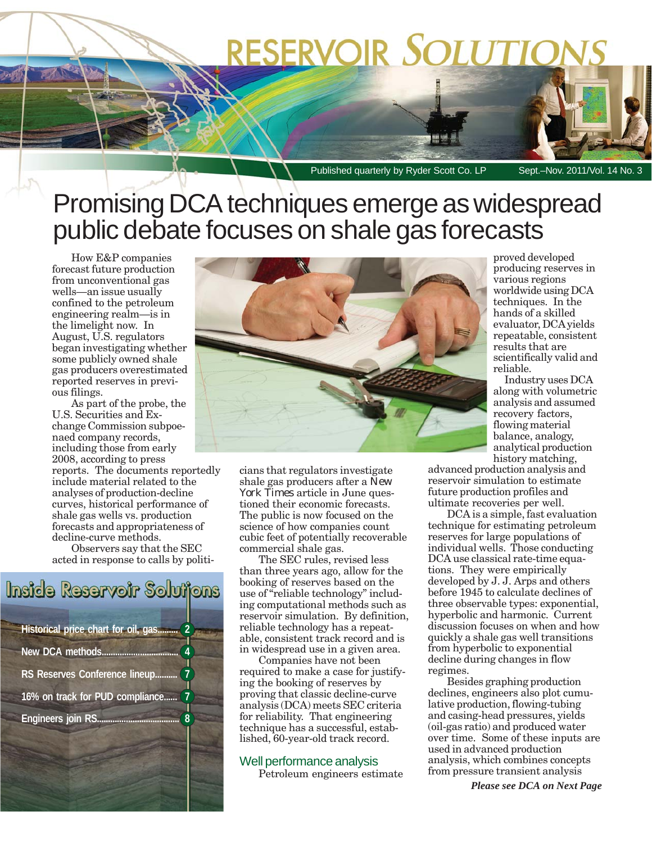# RESERVOIR SOLUTIO

Published quarterly by Ryder Scott Co. LP Sept.-Nov. 2011/Vol. 14 No. 3

### Promising DCA techniques emerge as widespread public debate focuses on shale gas forecasts

How E&P companies forecast future production from unconventional gas wells—an issue usually confined to the petroleum engineering realm—is in the limelight now. In August, U.S. regulators began investigating whether some publicly owned shale gas producers overestimated reported reserves in previous filings.

As part of the probe, the U.S. Securities and Exchange Commission subpoenaed company records, including those from early 2008, according to press reports. The documents reportedly include material related to the analyses of production-decline curves, historical performance of shale gas wells vs. production forecasts and appropriateness of decline-curve methods.

Observers say that the SEC acted in response to calls by politi-

## Inside Reservoir Solutions **Historical price chart for oil, gas......... 2 New DCA methods.............. RS Reserves Conference lineup....** 16% on track for PUD compliance...... **Engineers join RS...**



cians that regulators investigate shale gas producers after a *New York Times* article in June questioned their economic forecasts. The public is now focused on the science of how companies count cubic feet of potentially recoverable commercial shale gas.

The SEC rules, revised less than three years ago, allow for the booking of reserves based on the use of "reliable technology" including computational methods such as reservoir simulation. By definition, reliable technology has a repeatable, consistent track record and is in widespread use in a given area.

Companies have not been required to make a case for justifying the booking of reserves by proving that classic decline-curve analysis (DCA) meets SEC criteria for reliability. That engineering technique has a successful, established, 60-year-old track record.

#### Well performance analysis

Petroleum engineers estimate

proved developed producing reserves in various regions worldwide using DCA techniques. In the hands of a skilled evaluator, DCA yields repeatable, consistent results that are scientifically valid and reliable.

Industry uses DCA along with volumetric analysis and assumed recovery factors, flowing material balance, analogy, analytical production history matching,

advanced production analysis and reservoir simulation to estimate future production profiles and ultimate recoveries per well.

DCA is a simple, fast evaluation technique for estimating petroleum reserves for large populations of individual wells. Those conducting DCA use classical rate-time equations. They were empirically developed by J. J. Arps and others before 1945 to calculate declines of three observable types: exponential, hyperbolic and harmonic. Current discussion focuses on when and how quickly a shale gas well transitions from hyperbolic to exponential decline during changes in flow regimes.

Besides graphing production declines, engineers also plot cumulative production, flowing-tubing and casing-head pressures, yields (oil-gas ratio) and produced water over time. Some of these inputs are used in advanced production analysis, which combines concepts from pressure transient analysis

*Please see DCA on Next Page*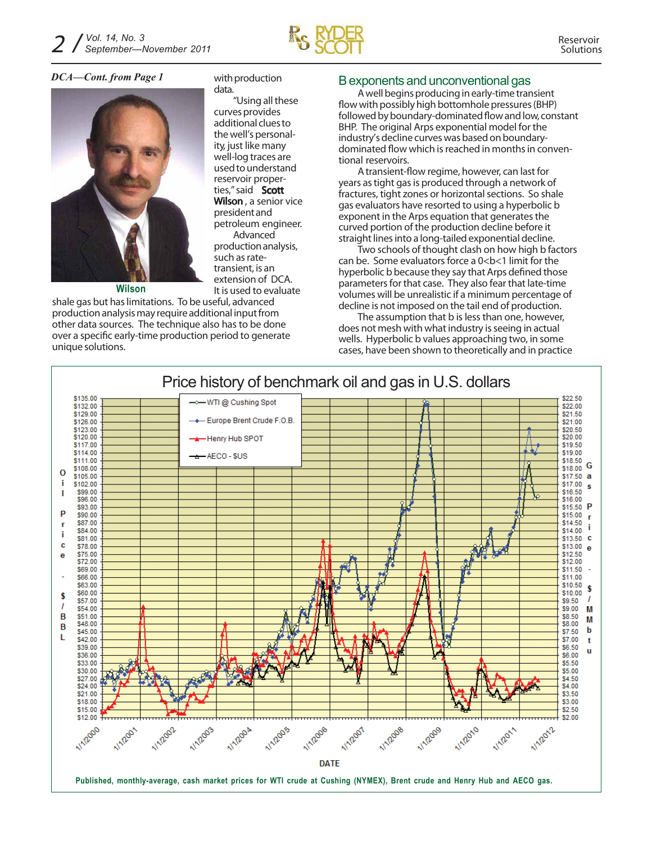

*DCA—Cont. from Page 1*



with production data.

"Using all these curves provides additional clues to the well's personality, just like many well-log traces are used to understand reservoir properties,"said **Scott Wilson** , a senior vice presidentand petroleum engineer. Advanced productionanalysis, such as ratetransient, is an extension of DCA. It is used to evaluate

**Wilson**

shale gas but has limitations. To be useful, advanced productionanalysismay requireadditional inputfrom other data sources. The technique also has to be done over a specific early-time production period to generate unique solutions.

#### Bexponents and unconventional gas

A well begins producing in early-time transient flow with possibly high bottomhole pressures (BHP) followed by boundary-dominated flow and low, constant BHP. The original Arps exponential model for the industry's decline curves was based on boundarydominated flow which is reached in months in conventional reservoirs.

A transient-flow regime, however, can last for years as tight gas is produced through a network of fractures, tight zones or horizontal sections. So shale gas evaluators have resorted to using a hyperbolic b exponent in the Arps equation that generates the curved portion of the production decline before it straight lines into a long-tailed exponential decline.

Two schools of thought clash on how high b factors can be. Some evaluators force a  $0 < b < 1$  limit for the hyperbolic b because they say that Arps defined those parametersfor that case. They also fear that late-time volumes will be unrealistic if a minimum percentage of decline is not imposed on the tail end of production.

The assumption that b is less than one, however, does not mesh with what industry is seeing in actual wells. Hyperbolic b values approaching two, in some cases, have been shown to theoretically and in practice

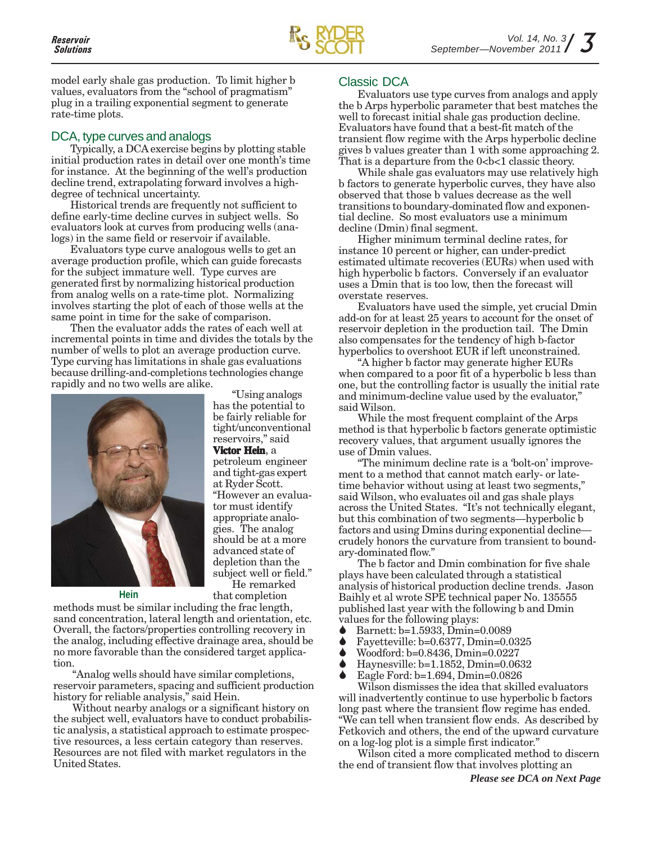

model early shale gas production. To limit higher b values, evaluators from the "school of pragmatism" plug in a trailing exponential segment to generate rate-time plots.

#### DCA, type curves and analogs

Typically, a DCA exercise begins by plotting stable initial production rates in detail over one month's time for instance. At the beginning of the well's production decline trend, extrapolating forward involves a highdegree of technical uncertainty.

Historical trends are frequently not sufficient to define early-time decline curves in subject wells. So evaluators look at curves from producing wells (analogs) in the same field or reservoir if available.

Evaluators type curve analogous wells to get an average production profile, which can guide forecasts for the subject immature well. Type curves are generated first by normalizing historical production from analog wells on a rate-time plot. Normalizing involves starting the plot of each of those wells at the same point in time for the sake of comparison.

Then the evaluator adds the rates of each well at incremental points in time and divides the totals by the number of wells to plot an average production curve. Type curving has limitations in shale gas evaluations because drilling-and-completions technologies change rapidly and no two wells are alike.



has the potential to be fairly reliable for tight/unconventional reservoirs," said **Victor Hein**, a petroleum engineer and tight-gas expert at Ryder Scott. "However an evaluator must identify appropriate analogies. The analog should be at a more advanced state of depletion than the subject well or field." He remarked

"Using analogs

**Hein** that completion

methods must be similar including the frac length, sand concentration, lateral length and orientation, etc. Overall, the factors/properties controlling recovery in the analog, including effective drainage area, should be no more favorable than the considered target application.

"Analog wells should have similar completions, reservoir parameters, spacing and sufficient production history for reliable analysis," said Hein.

Without nearby analogs or a significant history on the subject well, evaluators have to conduct probabilistic analysis, a statistical approach to estimate prospective resources, a less certain category than reserves. Resources are not filed with market regulators in the United States.

#### Classic DCA

Evaluators use type curves from analogs and apply the b Arps hyperbolic parameter that best matches the well to forecast initial shale gas production decline. Evaluators have found that a best-fit match of the transient flow regime with the Arps hyperbolic decline gives b values greater than 1 with some approaching 2. That is a departure from the  $0$ < $b$ < $1$  classic theory.

While shale gas evaluators may use relatively high b factors to generate hyperbolic curves, they have also observed that those b values decrease as the well transitions to boundary-dominated flow and exponential decline. So most evaluators use a minimum decline (Dmin) final segment.

Higher minimum terminal decline rates, for instance 10 percent or higher, can under-predict estimated ultimate recoveries (EURs) when used with high hyperbolic b factors. Conversely if an evaluator uses a Dmin that is too low, then the forecast will overstate reserves.

Evaluators have used the simple, yet crucial Dmin add-on for at least 25 years to account for the onset of reservoir depletion in the production tail. The Dmin also compensates for the tendency of high b-factor hyperbolics to overshoot EUR if left unconstrained.

"A higher b factor may generate higher EURs when compared to a poor fit of a hyperbolic b less than one, but the controlling factor is usually the initial rate and minimum-decline value used by the evaluator," said Wilson.

While the most frequent complaint of the Arps method is that hyperbolic b factors generate optimistic recovery values, that argument usually ignores the use of Dmin values.

"The minimum decline rate is a 'bolt-on' improvement to a method that cannot match early- or latetime behavior without using at least two segments," said Wilson, who evaluates oil and gas shale plays across the United States. "It's not technically elegant, but this combination of two segments—hyperbolic b factors and using Dmins during exponential decline crudely honors the curvature from transient to boundary-dominated flow."

The b factor and Dmin combination for five shale plays have been calculated through a statistical analysis of historical production decline trends. Jason Baihly et al wrote SPE technical paper No. 135555 published last year with the following b and Dmin values for the following plays:

- Barnett: b=1.5933, Dmin=0.0089
- <ul>\n<li>■ Bayetteville: b=0.6377, Dmin=0.0325</li>\n<li>■ Woodford: b=0.8436, Dmin=0.0227</li>\n</ul>
- Woodford: b=0.8436, Dmin=0.0227
- Haynesville: b=1.1852, Dmin=0.0632
- Eagle Ford: b=1.694, Dmin=0.0826

Wilson dismisses the idea that skilled evaluators will inadvertently continue to use hyperbolic b factors long past where the transient flow regime has ended. "We can tell when transient flow ends. As described by Fetkovich and others, the end of the upward curvature on a log-log plot is a simple first indicator."

Wilson cited a more complicated method to discern the end of transient flow that involves plotting an

*Please see DCA on Next Page*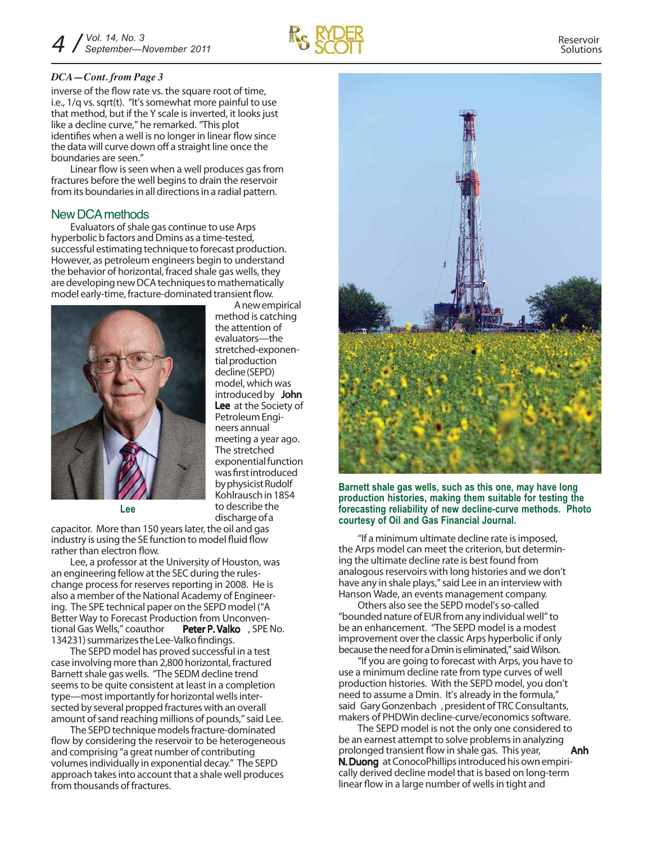

#### *DCA—Cont. from Page 3*

inverse of the flow rate vs. the square root of time, i.e., 1/q vs. sqrt(t). "It's somewhat more painful to use that method, but if the Y scale is inverted, it looks just like a decline curve," he remarked. "This plot identifies when a well is no longer in linear flow since the data will curve down off a straight line once the boundaries are seen."

Linear flow is seen when a well produces gas from fractures before the well begins to drain the reservoir from its boundaries in all directions in a radial pattern.

#### New DCA methods

Evaluators of shale gas continue to use Arps hyperbolic b factors and Dmins as a time-tested, successful estimating technique to forecast production. However, as petroleum engineers begin to understand the behavior of horizontal, fraced shale gas wells, they are developing new DCA techniques to mathematically model early-time, fracture-dominated transient flow.



Anewempirical method is catching the attention of evaluators—the stretched-exponential production decline(SEPD) model, which was introducedby **John Lee** at the Society of PetroleumEngineers annual meeting a year ago. The stretched exponential function was first introduced by physicist Rudolf Kohlrauschin1854 to describe the dischargeof a

**Lee**

capacitor. More than 150 years later, the oil and gas industry is using the SE function to model fluid flow rather than electron flow.

Lee, a professor at the University of Houston, was an engineering fellow at the SEC during the ruleschange process for reserves reporting in 2008. He is also a member of the National Academy of Engineering. The SPE technical paper on the SEPD model ("A Better Way to Forecast Production from Unconventional Gas Wells," coauthor **Peter P. Valko** , SPE No. 134231) summarizes the Lee-Valko findings.

The SEPD model has proved successful in a test case involving more than 2,800 horizontal, fractured Barnett shale gas wells. "The SEDM decline trend seems to be quite consistent at least in a completion type—most importantly for horizontal wells intersected by several propped fractures with an overall amount of sand reaching millions of pounds," said Lee.

The SEPD technique models fracture-dominated flow by considering the reservoir to be heterogeneous and comprising "a great number of contributing volumesindividually in exponential decay." The SEPD approach takes into account that a shale well produces from thousands of fractures.



**Barnett shale gas wells, such as this one, may have long production histories, making them suitable for testing the forecasting reliability of new decline-curve methods. Photo courtesy of Oil and Gas Financial Journal.**

"If a minimum ultimate decline rate isimposed, the Arps model can meet the criterion, but determining the ultimate decline rate is best found from analogous reservoirs with long histories and we don't have any in shale plays,"said Lee in an interview with Hanson Wade, an events management company.

Others also see the SEPD model's so-called "bounded nature of EUR from any individual well" to be an enhancement. "The SEPD model is a modest improvement over the classic Arps hyperbolic if only because the need for a Dmin is eliminated," said Wilson.

"If you are going to forecast with Arps, you have to use a minimum decline rate from type curves of well production histories. With the SEPD model, you don't need to assume a Dmin. It's already in the formula," said **GaryGonzenbach** ,presidentofTRCConsultants, makers of PHDWin decline-curve/economics software.

The SEPD model is not the only one considered to be an earnest attempt to solve problems in analyzing prolonged transient flow in shale gas. This year, **Anh N.Duong** at ConocoPhillips introduced his own empirically derived decline model that is based on long-term linear flow in a large number of wells in tight and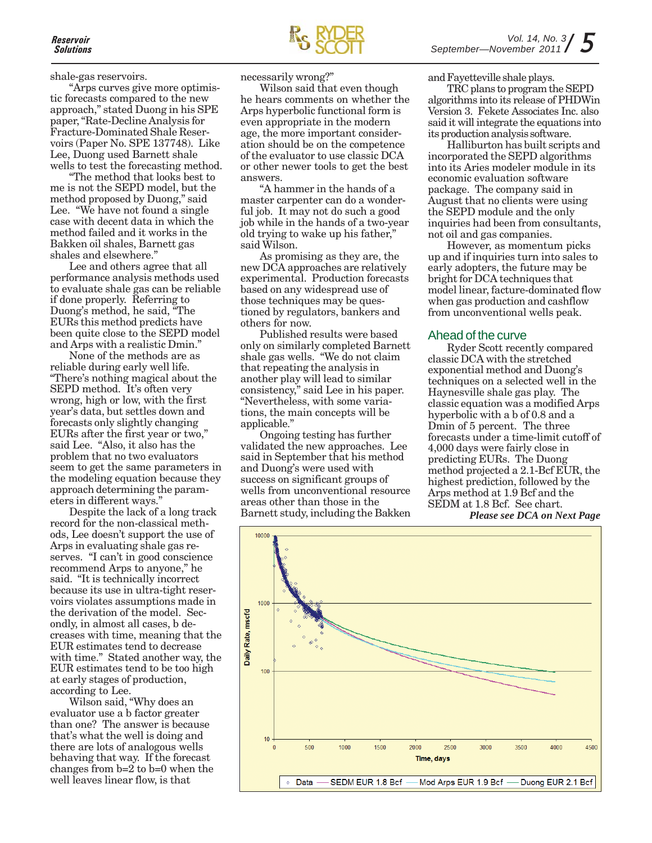shale-gas reservoirs.

"Arps curves give more optimistic forecasts compared to the new approach," stated Duong in his SPE paper, "Rate-Decline Analysis for Fracture-Dominated Shale Reservoirs (Paper No. SPE 137748). Like Lee, Duong used Barnett shale wells to test the forecasting method.

"The method that looks best to me is not the SEPD model, but the method proposed by Duong," said Lee. "We have not found a single case with decent data in which the method failed and it works in the Bakken oil shales, Barnett gas shales and elsewhere."

Lee and others agree that all performance analysis methods used to evaluate shale gas can be reliable if done properly. Referring to Duong's method, he said, "The EURs this method predicts have been quite close to the SEPD model and Arps with a realistic Dmin."

None of the methods are as reliable during early well life. "There's nothing magical about the SEPD method. It's often very wrong, high or low, with the first year's data, but settles down and forecasts only slightly changing EURs after the first year or two," said Lee. "Also, it also has the problem that no two evaluators seem to get the same parameters in the modeling equation because they approach determining the parameters in different ways."

Despite the lack of a long track record for the non-classical methods, Lee doesn't support the use of Arps in evaluating shale gas reserves. "I can't in good conscience recommend Arps to anyone," he said. "It is technically incorrect because its use in ultra-tight reservoirs violates assumptions made in the derivation of the model. Secondly, in almost all cases, b decreases with time, meaning that the EUR estimates tend to decrease with time." Stated another way, the EUR estimates tend to be too high at early stages of production, according to Lee.

Wilson said, "Why does an evaluator use a b factor greater than one? The answer is because that's what the well is doing and there are lots of analogous wells behaving that way. If the forecast changes from b=2 to b=0 when the well leaves linear flow, is that

necessarily wrong?"

Wilson said that even though he hears comments on whether the Arps hyperbolic functional form is even appropriate in the modern age, the more important consideration should be on the competence of the evaluator to use classic DCA or other newer tools to get the best answers.

"A hammer in the hands of a master carpenter can do a wonderful job. It may not do such a good job while in the hands of a two-year old trying to wake up his father," said Wilson.

As promising as they are, the new DCA approaches are relatively experimental. Production forecasts based on any widespread use of those techniques may be questioned by regulators, bankers and others for now.

Published results were based only on similarly completed Barnett shale gas wells. "We do not claim that repeating the analysis in another play will lead to similar consistency," said Lee in his paper. "Nevertheless, with some variations, the main concepts will be applicable."

Ongoing testing has further validated the new approaches. Lee said in September that his method and Duong's were used with success on significant groups of wells from unconventional resource areas other than those in the Barnett study, including the Bakken and Fayetteville shale plays.

TRC plans to program the SEPD algorithms into its release of PHDWin Version 3. Fekete Associates Inc. also said it will integrate the equations into its production analysis software.

Halliburton has built scripts and incorporated the SEPD algorithms into its Aries modeler module in its economic evaluation software package. The company said in August that no clients were using the SEPD module and the only inquiries had been from consultants, not oil and gas companies.

However, as momentum picks up and if inquiries turn into sales to early adopters, the future may be bright for DCA techniques that model linear, facture-dominated flow when gas production and cashflow from unconventional wells peak.

#### Ahead of the curve

Ryder Scott recently compared classic DCA with the stretched exponential method and Duong's techniques on a selected well in the Haynesville shale gas play. The classic equation was a modified Arps hyperbolic with a b of 0.8 and a Dmin of 5 percent. The three forecasts under a time-limit cutoff of 4,000 days were fairly close in predicting EURs. The Duong method projected a 2.1-Bcf EUR, the highest prediction, followed by the Arps method at 1.9 Bcf and the SEDM at 1.8 Bcf. See chart.

*Please see DCA on Next Page*

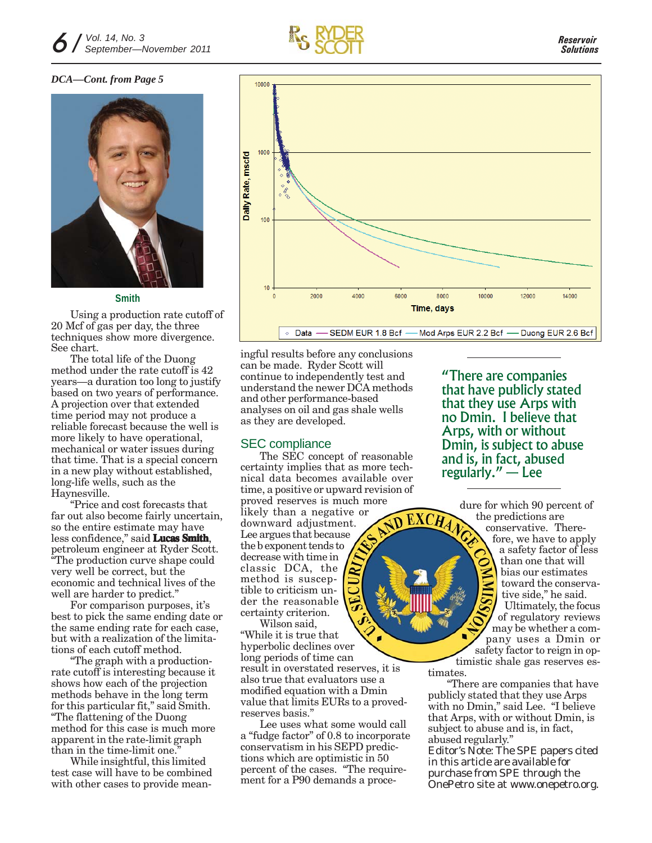

#### *DCA—Cont. from Page 5*



#### **Smith**

Using a production rate cutoff of 20 Mcf of gas per day, the three techniques show more divergence. See chart.

The total life of the Duong method under the rate cutoff is 42 years—a duration too long to justify based on two years of performance. A projection over that extended time period may not produce a reliable forecast because the well is more likely to have operational, mechanical or water issues during that time. That is a special concern in a new play without established, long-life wells, such as the Haynesville.

"Price and cost forecasts that far out also become fairly uncertain, so the entire estimate may have less confidence," said **Lucas Smith**, petroleum engineer at Ryder Scott. "The production curve shape could very well be correct, but the economic and technical lives of the well are harder to predict."

For comparison purposes, it's best to pick the same ending date or the same ending rate for each case, but with a realization of the limitations of each cutoff method.

"The graph with a productionrate cutoff is interesting because it shows how each of the projection methods behave in the long term for this particular fit," said Smith. "The flattening of the Duong method for this case is much more apparent in the rate-limit graph than in the time-limit one.

While insightful, this limited test case will have to be combined with other cases to provide mean-



ingful results before any conclusions can be made. Ryder Scott will continue to independently test and understand the newer DCA methods and other performance-based analyses on oil and gas shale wells as they are developed.

#### SEC compliance

The SEC concept of reasonable certainty implies that as more technical data becomes available over time, a positive or upward revision of proved reserves is much more likely than a negative or **ND EXCHA** downward adjustment. Lee argues that because the b exponent tends to decrease with time in classic DCA, the method is susceptible to criticism under the reasonable certainty criterion.

Wilson said, "While it is true that hyperbolic declines over long periods of time can result in overstated reserves, it is also true that evaluators use a modified equation with a Dmin value that limits EURs to a provedreserves basis."

Lee uses what some would call a "fudge factor" of 0.8 to incorporate conservatism in his SEPD predictions which are optimistic in 50 percent of the cases. "The requirement for a P90 demands a proce"There are companies that have publicly stated that they use Arps with no Dmin. I believe that Arps, with or without Dmin, is subject to abuse and is, in fact, abused regularly. $"$  – Lee

dure for which 90 percent of the predictions are conservative. Therefore, we have to apply a safety factor of less than one that will bias our estimates toward the conservative side," he said. Ultimately, the focus of regulatory reviews may be whether a company uses a Dmin or safety factor to reign in optimistic shale gas reserves es-

timates.

"There are companies that have publicly stated that they use Arps with no Dmin," said Lee. "I believe that Arps, with or without Dmin, is subject to abuse and is, in fact, abused regularly."

*Editor's Note: The SPE papers cited in this article are available for purchase from SPE through the OnePetro site at www.onepetro.org.*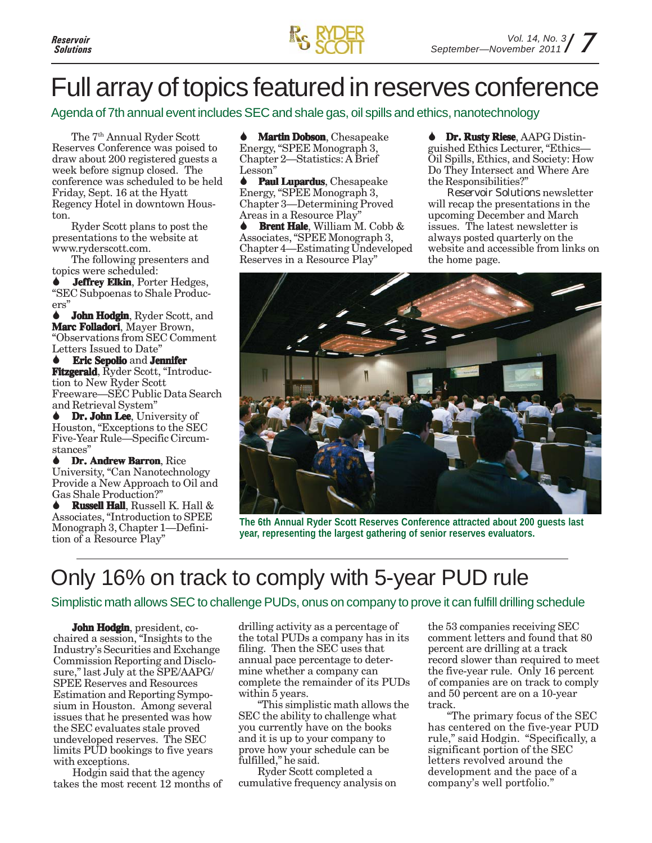

### Full array of topics featured in reserves conference

Agenda of 7th annual event includes SEC and shale gas, oil spills and ethics, nanotechnology

The 7th Annual Ryder Scott Reserves Conference was poised to draw about 200 registered guests a week before signup closed. The conference was scheduled to be held Friday, Sept. 16 at the Hyatt Regency Hotel in downtown Houston.

Ryder Scott plans to post the presentations to the website at www.ryderscott.com.

The following presenters and topics were scheduled:

**Jeffrey Elkin**, Porter Hedges, "SEC Subpoenas to Shale Producers"

**John Hodgin**, Ryder Scott, and **Marc Folladori**, Mayer Brown, "Observations from SEC Comment Letters Issued to Date"

**Eric Sepolio** and **Jennifer Fitzgerald**, Ryder Scott, "Introduction to New Ryder Scott Freeware—SEC Public Data Search and Retrieval System"

**Dr. John Lee**, University of Houston, "Exceptions to the SEC Five-Year Rule—Specific Circumstances"

**Dr. Andrew Barron**, Rice University, "Can Nanotechnology Provide a New Approach to Oil and Gas Shale Production?"

**Russell Hall**, Russell K. Hall & Associates, "Introduction to SPEE Monograph 3, Chapter 1—Definition of a Resource Play"

### **Martin Dobson**, Chesapeake

Energy, "SPEE Monograph 3, Chapter 2—Statistics: A Brief Lesson"

**Paul Lupardus**, Chesapeake Energy, "SPEE Monograph 3, Chapter 3—Determining Proved Areas in a Resource Play"

**Brent Hale**, William M. Cobb & Associates, "SPEE Monograph 3, Chapter 4—Estimating Undeveloped Reserves in a Resource Play"

**Dr. Rusty Riese**, AAPG Distinguished Ethics Lecturer, "Ethics— Oil Spills, Ethics, and Society: How Do They Intersect and Where Are the Responsibilities?"

*Reservoir Solutions* newsletter will recap the presentations in the upcoming December and March issues. The latest newsletter is always posted quarterly on the website and accessible from links on the home page.



**The 6th Annual Ryder Scott Reserves Conference attracted about 200 guests last year, representing the largest gathering of senior reserves evaluators.**

### Only 16% on track to comply with 5-year PUD rule

#### Simplistic math allows SEC to challenge PUDs, onus on company to prove it can fulfill drilling schedule

**John Hodgin**, president, cochaired a session, "Insights to the Industry's Securities and Exchange Commission Reporting and Disclosure," last July at the SPE/AAPG/ SPEE Reserves and Resources Estimation and Reporting Symposium in Houston. Among several issues that he presented was how the SEC evaluates stale proved undeveloped reserves. The SEC limits PUD bookings to five years with exceptions.

Hodgin said that the agency takes the most recent 12 months of drilling activity as a percentage of the total PUDs a company has in its filing. Then the SEC uses that annual pace percentage to determine whether a company can complete the remainder of its PUDs within 5 years.

"This simplistic math allows the SEC the ability to challenge what you currently have on the books and it is up to your company to prove how your schedule can be fulfilled," he said.

Ryder Scott completed a cumulative frequency analysis on the 53 companies receiving SEC comment letters and found that 80 percent are drilling at a track record slower than required to meet the five-year rule. Only 16 percent of companies are on track to comply and 50 percent are on a 10-year track.

"The primary focus of the SEC has centered on the five-year PUD rule," said Hodgin. "Specifically, a significant portion of the SEC letters revolved around the development and the pace of a company's well portfolio."